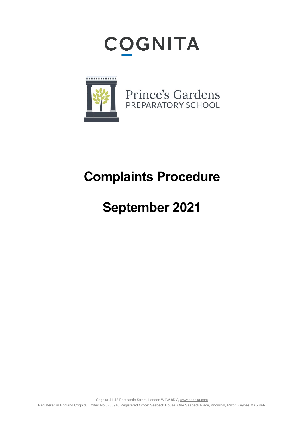



# **Complaints Procedure**

# **September 2021**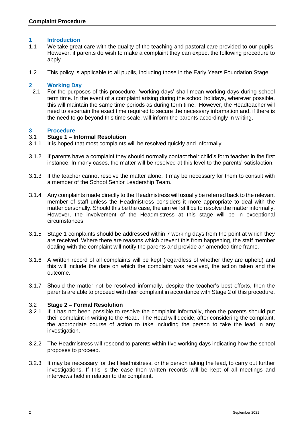### **1 Introduction**

- 1.1 We take great care with the quality of the teaching and pastoral care provided to our pupils. However, if parents do wish to make a complaint they can expect the following procedure to apply.
- 1.2 This policy is applicable to all pupils, including those in the Early Years Foundation Stage.

### **2 Working Day**

2.1 For the purposes of this procedure, 'working days' shall mean working days during school term time. In the event of a complaint arising during the school holidays, wherever possible, this will maintain the same time periods as during term time. However, the Headteacher will need to ascertain the exact time required to secure the necessary information and, if there is the need to go beyond this time scale, will inform the parents accordingly in writing.

### **3 Procedure**

### 3.1 **Stage 1 – Informal Resolution**

- 3.1.1 It is hoped that most complaints will be resolved quickly and informally.
- 3.1.2 If parents have a complaint they should normally contact their child's form teacher in the first instance. In many cases, the matter will be resolved at this level to the parents' satisfaction.
- 3.1.3 If the teacher cannot resolve the matter alone, it may be necessary for them to consult with a member of the School Senior Leadership Team.
- 3.1.4 Any complaints made directly to the Headmistress will usually be referred back to the relevant member of staff unless the Headmistress considers it more appropriate to deal with the matter personally. Should this be the case, the aim will still be to resolve the matter informally. However, the involvement of the Headmistress at this stage will be in exceptional circumstances.
- 3.1.5 Stage 1 complaints should be addressed within 7 working days from the point at which they are received. Where there are reasons which prevent this from happening, the staff member dealing with the complaint will notify the parents and provide an amended time frame.
- 3.1.6 A written record of all complaints will be kept (regardless of whether they are upheld) and this will include the date on which the complaint was received, the action taken and the outcome.
- 3.1.7 Should the matter not be resolved informally, despite the teacher's best efforts, then the parents are able to proceed with their complaint in accordance with Stage 2 of this procedure.

#### 3.2 **Stage 2 – Formal Resolution**

- 3.2.1 If it has not been possible to resolve the complaint informally, then the parents should put their complaint in writing to the Head. The Head will decide, after considering the complaint, the appropriate course of action to take including the person to take the lead in any investigation.
- 3.2.2 The Headmistress will respond to parents within five working days indicating how the school proposes to proceed.
- 3.2.3 It may be necessary for the Headmistress, or the person taking the lead, to carry out further investigations. If this is the case then written records will be kept of all meetings and interviews held in relation to the complaint.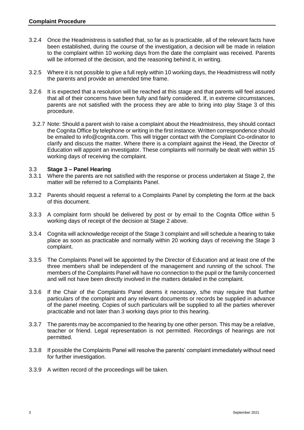- 3.2.4 Once the Headmistress is satisfied that, so far as is practicable, all of the relevant facts have been established, during the course of the investigation, a decision will be made in relation to the complaint within 10 working days from the date the complaint was received. Parents will be informed of the decision, and the reasoning behind it, in writing.
- 3.2.5 Where it is not possible to give a full reply within 10 working days, the Headmistress will notify the parents and provide an amended time frame.
- 3.2.6 It is expected that a resolution will be reached at this stage and that parents will feel assured that all of their concerns have been fully and fairly considered. If, in extreme circumstances, parents are not satisfied with the process they are able to bring into play Stage 3 of this procedure.
- 3.2.7 Note: Should a parent wish to raise a complaint about the Headmistress, they should contact the Cognita Office by telephone or writing in the first instance. Written correspondence should be emailed to info@cognita.com. This will trigger contact with the Complaint Co-ordinator to clarify and discuss the matter. Where there is a complaint against the Head, the Director of Education will appoint an investigator. These complaints will normally be dealt with within 15 working days of receiving the complaint.

## 3.3 **Stage 3 – Panel Hearing**

- 3.3.1 Where the parents are not satisfied with the response or process undertaken at Stage 2, the matter will be referred to a Complaints Panel.
- 3.3.2 Parents should request a referral to a Complaints Panel by completing the form at the back of this document.
- 3.3.3 A complaint form should be delivered by post or by email to the Cognita Office within 5 working days of receipt of the decision at Stage 2 above.
- 3.3.4 Cognita will acknowledge receipt of the Stage 3 complaint and will schedule a hearing to take place as soon as practicable and normally within 20 working days of receiving the Stage 3 complaint.
- 3.3.5 The Complaints Panel will be appointed by the Director of Education and at least one of the three members shall be independent of the management and running of the school. The members of the Complaints Panel will have no connection to the pupil or the family concerned and will not have been directly involved in the matters detailed in the complaint.
- 3.3.6 If the Chair of the Complaints Panel deems it necessary, s/he may require that further particulars of the complaint and any relevant documents or records be supplied in advance of the panel meeting. Copies of such particulars will be supplied to all the parties wherever practicable and not later than 3 working days prior to this hearing.
- 3.3.7 The parents may be accompanied to the hearing by one other person. This may be a relative, teacher or friend. Legal representation is not permitted. Recordings of hearings are not permitted.
- 3.3.8 If possible the Complaints Panel will resolve the parents' complaint immediately without need for further investigation.
- 3.3.9 A written record of the proceedings will be taken.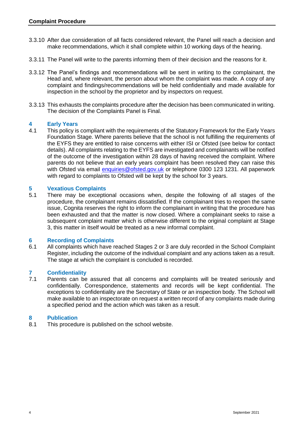- 3.3.10 After due consideration of all facts considered relevant, the Panel will reach a decision and make recommendations, which it shall complete within 10 working days of the hearing.
- 3.3.11 The Panel will write to the parents informing them of their decision and the reasons for it.
- 3.3.12 The Panel's findings and recommendations will be sent in writing to the complainant, the Head and, where relevant, the person about whom the complaint was made. A copy of any complaint and findings/recommendations will be held confidentially and made available for inspection in the school by the proprietor and by inspectors on request.
- 3.3.13 This exhausts the complaints procedure after the decision has been communicated in writing. The decision of the Complaints Panel is Final.

### **4 Early Years**

4.1 This policy is compliant with the requirements of the Statutory Framework for the Early Years Foundation Stage. Where parents believe that the school is not fulfilling the requirements of the EYFS they are entitled to raise concerns with either ISI or Ofsted (see below for contact details). All complaints relating to the EYFS are investigated and complainants will be notified of the outcome of the investigation within 28 days of having received the complaint. Where parents do not believe that an early years complaint has been resolved they can raise this with Ofsted via email [enquiries@ofsted.gov.uk](mailto:enquiries@ofsted.gov.uk) or telephone 0300 123 1231. All paperwork with regard to complaints to Ofsted will be kept by the school for 3 years.

# **5 Vexatious Complaints**

5.1 There may be exceptional occasions when, despite the following of all stages of the procedure, the complainant remains dissatisfied. If the complainant tries to reopen the same issue, Cognita reserves the right to inform the complainant in writing that the procedure has been exhausted and that the matter is now closed. Where a complainant seeks to raise a subsequent complaint matter which is otherwise different to the original complaint at Stage 3, this matter in itself would be treated as a new informal complaint.

#### **6 Recording of Complaints**

6.1 All complaints which have reached Stages 2 or 3 are duly recorded in the School Complaint Register, including the outcome of the individual complaint and any actions taken as a result. The stage at which the complaint is concluded is recorded.

# **7 Confidentiality**

Parents can be assured that all concerns and complaints will be treated seriously and confidentially. Correspondence, statements and records will be kept confidential. The exceptions to confidentiality are the Secretary of State or an inspection body. The School will make available to an inspectorate on request a written record of any complaints made during a specified period and the action which was taken as a result.

#### **8 Publication**

8.1 This procedure is published on the school website.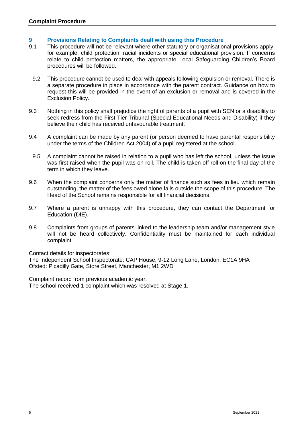### **9 Provisions Relating to Complaints dealt with using this Procedure**

- 9.1 This procedure will not be relevant where other statutory or organisational provisions apply, for example, child protection, racial incidents or special educational provision. If concerns relate to child protection matters, the appropriate Local Safeguarding Children's Board procedures will be followed.
	- 9.2 This procedure cannot be used to deal with appeals following expulsion or removal. There is a separate procedure in place in accordance with the parent contract. Guidance on how to request this will be provided in the event of an exclusion or removal and is covered in the Exclusion Policy.
- 9.3 Nothing in this policy shall prejudice the right of parents of a pupil with SEN or a disability to seek redress from the First Tier Tribunal (Special Educational Needs and Disability) if they believe their child has received unfavourable treatment.
- 9.4 A complaint can be made by any parent (or person deemed to have parental responsibility under the terms of the Children Act 2004) of a pupil registered at the school.
- 9.5 A complaint cannot be raised in relation to a pupil who has left the school, unless the issue was first raised when the pupil was on roll. The child is taken off roll on the final day of the term in which they leave.
- 9.6 When the complaint concerns only the matter of finance such as fees in lieu which remain outstanding, the matter of the fees owed alone falls outside the scope of this procedure. The Head of the School remains responsible for all financial decisions.
- 9.7 Where a parent is unhappy with this procedure, they can contact the Department for Education (DfE).
- 9.8 Complaints from groups of parents linked to the leadership team and/or management style will not be heard collectively. Confidentiality must be maintained for each individual complaint.

#### Contact details for inspectorates:

The Independent School Inspectorate: CAP House, 9-12 Long Lane, London, EC1A 9HA Ofsted: Picadilly Gate, Store Street, Manchester, M1 2WD

Complaint record from previous academic year:

The school received 1 complaint which was resolved at Stage 1.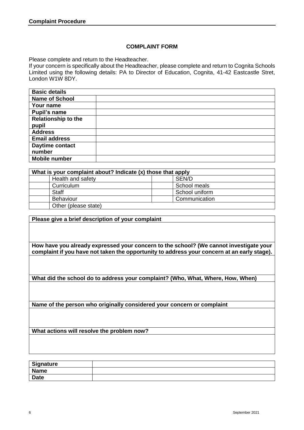### **COMPLAINT FORM**

Please complete and return to the Headteacher.

If your concern is specifically about the Headteacher, please complete and return to Cognita Schools Limited using the following details: PA to Director of Education, Cognita, 41-42 Eastcastle Stret, London W1W 8DY.

| <b>Basic details</b>       |  |
|----------------------------|--|
| <b>Name of School</b>      |  |
| Your name                  |  |
| <b>Pupil's name</b>        |  |
| <b>Relationship to the</b> |  |
| pupil                      |  |
| <b>Address</b>             |  |
| <b>Email address</b>       |  |
| Daytime contact            |  |
| number                     |  |
| <b>Mobile number</b>       |  |

| What is your complaint about? Indicate (x) those that apply |                |
|-------------------------------------------------------------|----------------|
| Health and safety                                           | SEN/D          |
| Curriculum                                                  | School meals   |
| <b>Staff</b>                                                | School uniform |
| Behaviour                                                   | Communication  |
| Other (please state)                                        |                |

**Please give a brief description of your complaint**

**How have you already expressed your concern to the school? (We cannot investigate your complaint if you have not taken the opportunity to address your concern at an early stage).**

**What did the school do to address your complaint? (Who, What, Where, How, When)**

**Name of the person who originally considered your concern or complaint**

**What actions will resolve the problem now?**

| <b>Signature</b> |  |
|------------------|--|
| <b>Name</b>      |  |
| <b>Date</b>      |  |